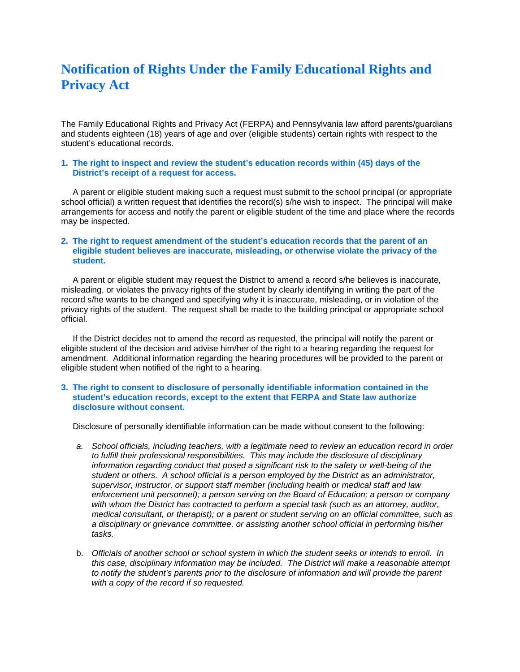# **Notification of Rights Under the Family Educational Rights and Privacy Act**

The Family Educational Rights and Privacy Act (FERPA) and Pennsylvania law afford parents/guardians and students eighteen (18) years of age and over (eligible students) certain rights with respect to the student's educational records.

## **1. The right to inspect and review the student's education records within (45) days of the District's receipt of a request for access.**

 A parent or eligible student making such a request must submit to the school principal (or appropriate school official) a written request that identifies the record(s) s/he wish to inspect. The principal will make arrangements for access and notify the parent or eligible student of the time and place where the records may be inspected.

#### **2. The right to request amendment of the student's education records that the parent of an eligible student believes are inaccurate, misleading, or otherwise violate the privacy of the student.**

 A parent or eligible student may request the District to amend a record s/he believes is inaccurate, misleading, or violates the privacy rights of the student by clearly identifying in writing the part of the record s/he wants to be changed and specifying why it is inaccurate, misleading, or in violation of the privacy rights of the student. The request shall be made to the building principal or appropriate school official.

 If the District decides not to amend the record as requested, the principal will notify the parent or eligible student of the decision and advise him/her of the right to a hearing regarding the request for amendment. Additional information regarding the hearing procedures will be provided to the parent or eligible student when notified of the right to a hearing.

## **3. The right to consent to disclosure of personally identifiable information contained in the student's education records, except to the extent that FERPA and State law authorize disclosure without consent.**

Disclosure of personally identifiable information can be made without consent to the following:

- *a. School officials, including teachers, with a legitimate need to review an education record in order to fulfill their professional responsibilities. This may include the disclosure of disciplinary information regarding conduct that posed a significant risk to the safety or well-being of the student or others. A school official is a person employed by the District as an administrator, supervisor, instructor, or support staff member (including health or medical staff and law enforcement unit personnel); a person serving on the Board of Education; a person or company with whom the District has contracted to perform a special task (such as an attorney, auditor, medical consultant, or therapist); or a parent or student serving on an official committee, such as a disciplinary or grievance committee, or assisting another school official in performing his/her tasks.*
- b. *Officials of another school or school system in which the student seeks or intends to enroll. In this case, disciplinary information may be included. The District will make a reasonable attempt to notify the student's parents prior to the disclosure of information and will provide the parent with a copy of the record if so requested.*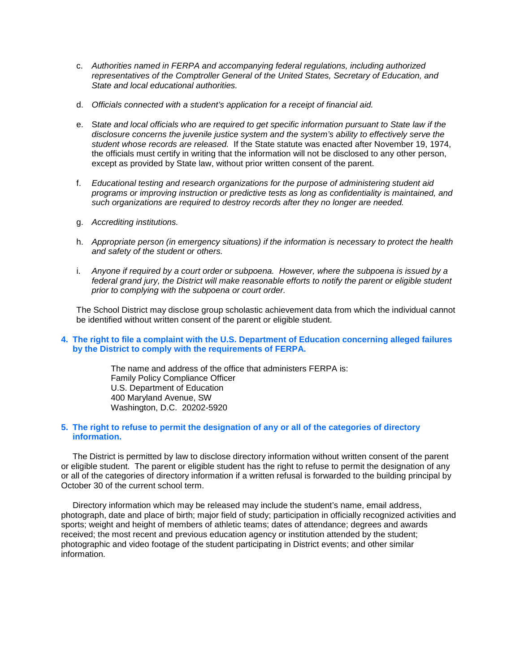- c. *Authorities named in FERPA and accompanying federal regulations, including authorized representatives of the Comptroller General of the United States, Secretary of Education, and State and local educational authorities.*
- d. *Officials connected with a student's application for a receipt of financial aid.*
- e. S*tate and local officials who are required to get specific information pursuant to State law if the disclosure concerns the juvenile justice system and the system's ability to effectively serve the student whose records are released.* If the State statute was enacted after November 19, 1974, the officials must certify in writing that the information will not be disclosed to any other person, except as provided by State law, without prior written consent of the parent.
- f. *Educational testing and research organizations for the purpose of administering student aid programs or improving instruction or predictive tests as long as confidentiality is maintained, and such organizations are required to destroy records after they no longer are needed.*
- g. *Accrediting institutions.*
- h. *Appropriate person (in emergency situations) if the information is necessary to protect the health and safety of the student or others.*
- i. *Anyone if required by a court order or subpoena. However, where the subpoena is issued by a federal grand jury, the District will make reasonable efforts to notify the parent or eligible student prior to complying with the subpoena or court order.*

 The School District may disclose group scholastic achievement data from which the individual cannot be identified without written consent of the parent or eligible student.

**4. The right to file a complaint with the U.S. Department of Education concerning alleged failures by the District to comply with the requirements of FERPA.**

> The name and address of the office that administers FERPA is: Family Policy Compliance Officer U.S. Department of Education 400 Maryland Avenue, SW Washington, D.C. 20202-5920

#### **5. The right to refuse to permit the designation of any or all of the categories of directory information.**

The District is permitted by law to disclose directory information without written consent of the parent or eligible student. The parent or eligible student has the right to refuse to permit the designation of any or all of the categories of directory information if a written refusal is forwarded to the building principal by October 30 of the current school term.

Directory information which may be released may include the student's name, email address, photograph, date and place of birth; major field of study; participation in officially recognized activities and sports; weight and height of members of athletic teams; dates of attendance; degrees and awards received; the most recent and previous education agency or institution attended by the student; photographic and video footage of the student participating in District events; and other similar information.